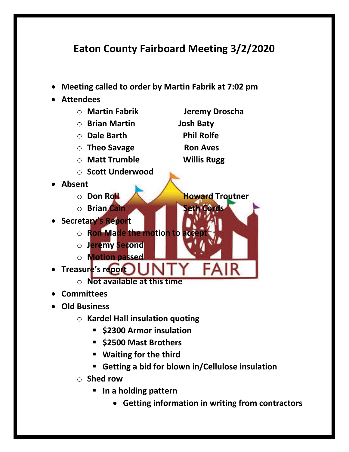## **Eaton County Fairboard Meeting 3/2/2020**

- **Meeting called to order by Martin Fabrik at 7:02 pm**
- **Attendees**
	- o **Martin Fabrik Jeremy Droscha** o **Brian Martin Josh Baty** o **Dale Barth Phil Rolfe** o **Theo Savage Ron Aves** o **Matt Trumble Willis Rugg** o **Scott Underwood**  • **Absent**
	- o **Don Roll Howard Troutner**
		- o **Brian Cain** Seth Cord
	-
- **Secretary's Report**
	- o **Ron Made the motion to acce**
	- o **Jeremy Second**
	- o **Motion passed**
- **Treasure's report** 
	- o **Not available at this time**
- **Committees**
- **Old Business**
	- o **Kardel Hall insulation quoting**
		- § **\$2300 Armor insulation**
		- § **\$2500 Mast Brothers**
		- § **Waiting for the third**
		- § **Getting a bid for blown in/Cellulose insulation**
	- o **Shed row** 
		- § **In a holding pattern**
			- **Getting information in writing from contractors**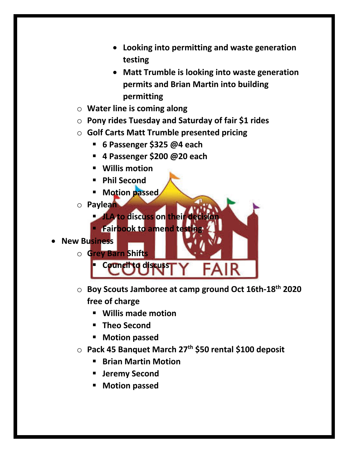- **Looking into permitting and waste generation testing**
- **Matt Trumble is looking into waste generation permits and Brian Martin into building permitting**
- o **Water line is coming along**
- o **Pony rides Tuesday and Saturday of fair \$1 rides**
- o **Golf Carts Matt Trumble presented pricing**
	- § **6 Passenger \$325 @4 each**
	- § **4 Passenger \$200 @20 each**
	- § **Willis motion**
	- § **Phil Second**
	- § **Motion passed**
- o **Paylean**
	- **JLA to discuss on their decision**
	- § **Fairbook to amend testing**
- **New Business**
	- o **Grey Barn Shifts**
	- o **Boy Scouts Jamboree at camp ground Oct 16th-18th 2020 free of charge**
		- § **Willis made motion**

§ **Council to discuss**

- § **Theo Second**
- § **Motion passed**
- o **Pack 45 Banquet March 27th \$50 rental \$100 deposit**
	- **Brian Martin Motion**
	- § **Jeremy Second**
	- § **Motion passed**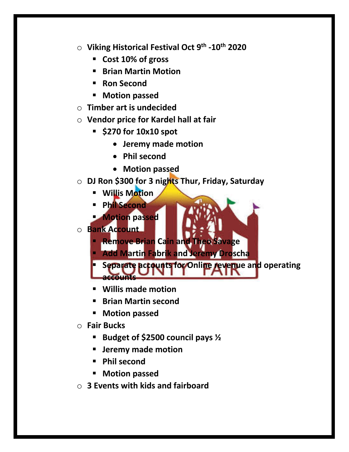- o **Viking Historical Festival Oct 9th -10th 2020**
	- § **Cost 10% of gross**
	- § **Brian Martin Motion**
	- Ron Second
	- § **Motion passed**
- o **Timber art is undecided**
- o **Vendor price for Kardel hall at fair** 
	- § **\$270 for 10x10 spot**
		- **Jeremy made motion**
		- **Phil second**
		- **Motion passed**
- o **DJ Ron \$300 for 3 nights Thur, Friday, Saturday**
	- § **Willis Motion**
	- § **Phil Second**
	- § **Motion passed**
- o **Bank Account**
	- § **Remove Brian Cain and Theo Savage**
	- § **Add Martin Fabrik and Jeremy Droscha**
	- **Separate accounts for Online revenue and operating accounts**
	- § **Willis made motion**
	- Brian Martin second
	- § **Motion passed**
- o **Fair Bucks**
	- § **Budget of \$2500 council pays ½**
	- § **Jeremy made motion**
	- § **Phil second**
	- § **Motion passed**
- o **3 Events with kids and fairboard**